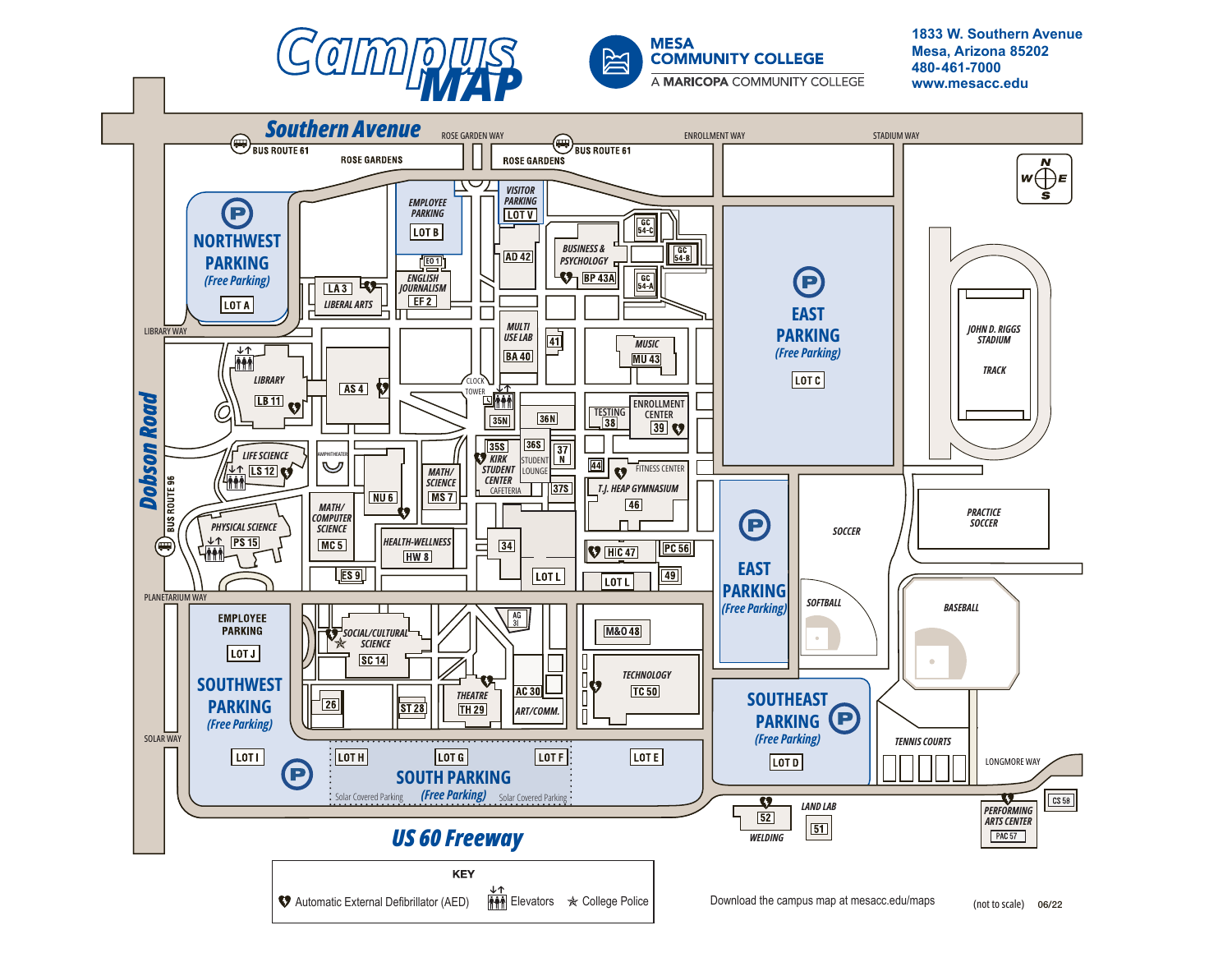



**1833 W. Southern Avenue Mesa, Arizona 85202**